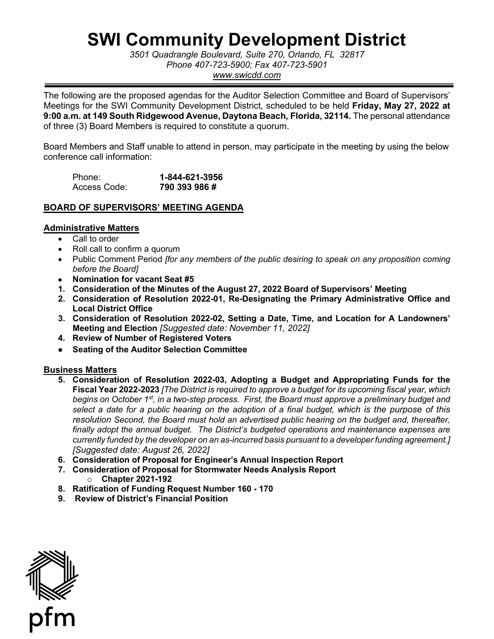# **SWI Community Development District**

 *3501 Quadrangle Boulevard, Suite 270, Orlando, FL 32817 Phone 407-723-5900; Fax 407-723-5901 <www.swicdd.com>* 

 The following are the proposed agendas for the Auditor Selection Committee and Board of Supervisors'  **9:00 a.m. at 149 South Ridgewood Avenue, Daytona Beach, Florida, 32114.** The personal attendance Meetings for the SWI Community Development District, scheduled to be held **Friday, May 27, 2022 at**  of three (3) Board Members is required to constitute a quorum.

Board Members and Staff unable to attend in person, may participate in the meeting by using the below conference call information:

| Phone:       | 1-844-621-3956 |
|--------------|----------------|
| Access Code: | 790 393 986 #  |

## **BOARD OF SUPERVISORS' MEETING AGENDA**

## **Administrative Matters**

- Call to order
- Roll call to confirm a quorum
- Public Comment Period *[for any members of the public desiring to speak on any proposition coming before the Board]*
- **Nomination for vacant Seat #5**
- **1. Consideration of the Minutes of the August 27, 2022 Board of Supervisors' Meeting**
- **Local District Office 2. Consideration of Resolution 2022-01, Re-Designating the Primary Administrative Office and**
- **3. Consideration of Resolution 2022-02, Setting a Date, Time, and Location for A Landowners' Meeting and Election** *[Suggested date: November 11, 2022]*
- **4. Review of Number of Registered Voters**
- **Seating of the Auditor Selection Committee**

## **Business Matters**

- begins on October 1st, in a two-step process. First, the Board must approve a preliminary budget and  *select a date for a public hearing on the adoption of a final budget, which is the purpose of this finally adopt the annual budget. The District's budgeted operations and maintenance expenses are currently funded by the developer on an as-incurred basis pursuant to a developer funding agreement.]*  **5. Consideration of Resolution 2022-03, Adopting a Budget and Appropriating Funds for the Fiscal Year 2022-2023** *[The District is required to approve a budget for its upcoming fiscal year, which resolution Second, the Board must hold an advertised public hearing on the budget and, thereafter, [Suggested date: August 26, 2022]*
- **6. Consideration of Proposal for Engineer's Annual Inspection Report**
- **7. Consideration of Proposal for Stormwater Needs Analysis Report**  o **Chapter 2021-192**
- **8. Ratification of Funding Request Number 160 - 170**
- **9. Review of District's Financial Position**